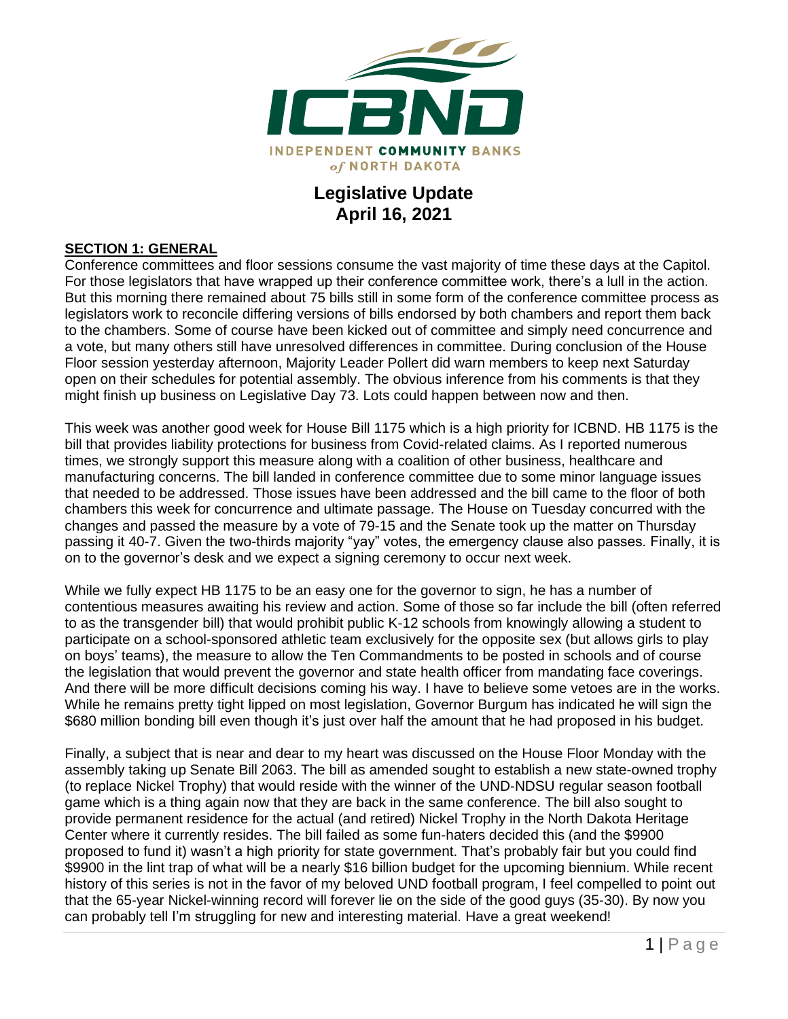

# **Legislative Update April 16, 2021**

#### **SECTION 1: GENERAL**

Conference committees and floor sessions consume the vast majority of time these days at the Capitol. For those legislators that have wrapped up their conference committee work, there's a lull in the action. But this morning there remained about 75 bills still in some form of the conference committee process as legislators work to reconcile differing versions of bills endorsed by both chambers and report them back to the chambers. Some of course have been kicked out of committee and simply need concurrence and a vote, but many others still have unresolved differences in committee. During conclusion of the House Floor session yesterday afternoon, Majority Leader Pollert did warn members to keep next Saturday open on their schedules for potential assembly. The obvious inference from his comments is that they might finish up business on Legislative Day 73. Lots could happen between now and then.

This week was another good week for House Bill 1175 which is a high priority for ICBND. HB 1175 is the bill that provides liability protections for business from Covid-related claims. As I reported numerous times, we strongly support this measure along with a coalition of other business, healthcare and manufacturing concerns. The bill landed in conference committee due to some minor language issues that needed to be addressed. Those issues have been addressed and the bill came to the floor of both chambers this week for concurrence and ultimate passage. The House on Tuesday concurred with the changes and passed the measure by a vote of 79-15 and the Senate took up the matter on Thursday passing it 40-7. Given the two-thirds majority "yay" votes, the emergency clause also passes. Finally, it is on to the governor's desk and we expect a signing ceremony to occur next week.

While we fully expect HB 1175 to be an easy one for the governor to sign, he has a number of contentious measures awaiting his review and action. Some of those so far include the bill (often referred to as the transgender bill) that would prohibit public K-12 schools from knowingly allowing a student to participate on a school-sponsored athletic team exclusively for the opposite sex (but allows girls to play on boys' teams), the measure to allow the Ten Commandments to be posted in schools and of course the legislation that would prevent the governor and state health officer from mandating face coverings. And there will be more difficult decisions coming his way. I have to believe some vetoes are in the works. While he remains pretty tight lipped on most legislation, Governor Burgum has indicated he will sign the \$680 million bonding bill even though it's just over half the amount that he had proposed in his budget.

Finally, a subject that is near and dear to my heart was discussed on the House Floor Monday with the assembly taking up Senate Bill 2063. The bill as amended sought to establish a new state-owned trophy (to replace Nickel Trophy) that would reside with the winner of the UND-NDSU regular season football game which is a thing again now that they are back in the same conference. The bill also sought to provide permanent residence for the actual (and retired) Nickel Trophy in the North Dakota Heritage Center where it currently resides. The bill failed as some fun-haters decided this (and the \$9900 proposed to fund it) wasn't a high priority for state government. That's probably fair but you could find \$9900 in the lint trap of what will be a nearly \$16 billion budget for the upcoming biennium. While recent history of this series is not in the favor of my beloved UND football program, I feel compelled to point out that the 65-year Nickel-winning record will forever lie on the side of the good guys (35-30). By now you can probably tell I'm struggling for new and interesting material. Have a great weekend!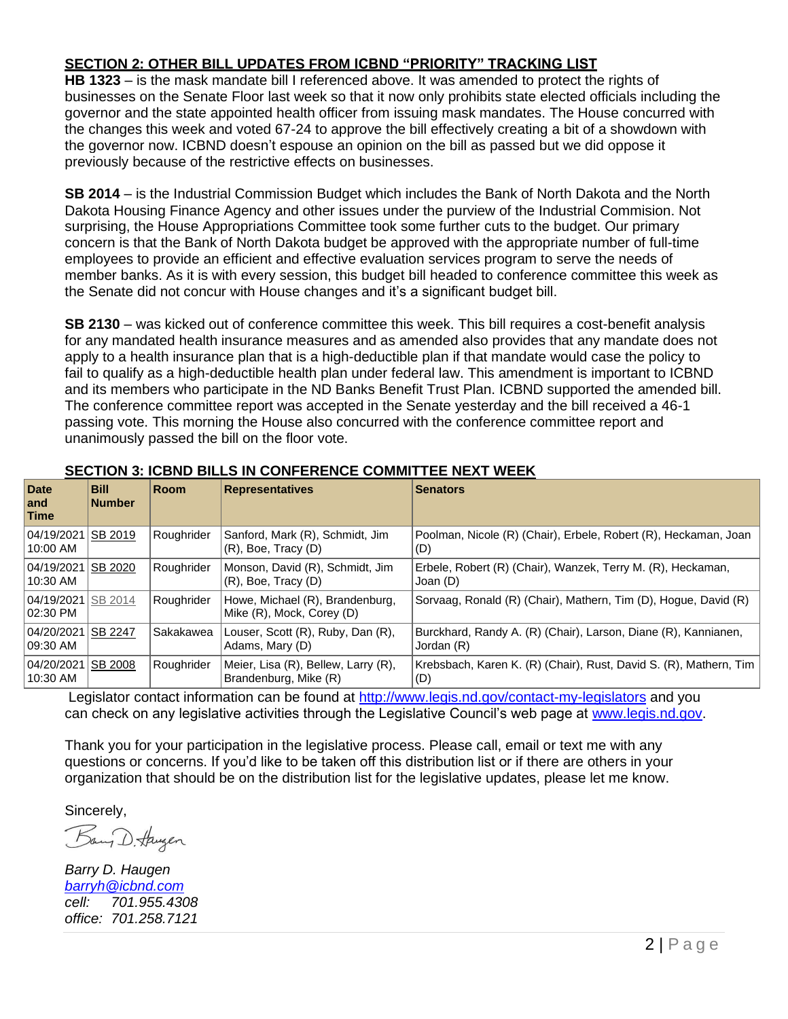## **SECTION 2: OTHER BILL UPDATES FROM ICBND "PRIORITY" TRACKING LIST**

**HB 1323** – is the mask mandate bill I referenced above. It was amended to protect the rights of businesses on the Senate Floor last week so that it now only prohibits state elected officials including the governor and the state appointed health officer from issuing mask mandates. The House concurred with the changes this week and voted 67-24 to approve the bill effectively creating a bit of a showdown with the governor now. ICBND doesn't espouse an opinion on the bill as passed but we did oppose it previously because of the restrictive effects on businesses.

**SB 2014** – is the Industrial Commission Budget which includes the Bank of North Dakota and the North Dakota Housing Finance Agency and other issues under the purview of the Industrial Commision. Not surprising, the House Appropriations Committee took some further cuts to the budget. Our primary concern is that the Bank of North Dakota budget be approved with the appropriate number of full-time employees to provide an efficient and effective evaluation services program to serve the needs of member banks. As it is with every session, this budget bill headed to conference committee this week as the Senate did not concur with House changes and it's a significant budget bill.

**SB 2130** – was kicked out of conference committee this week. This bill requires a cost-benefit analysis for any mandated health insurance measures and as amended also provides that any mandate does not apply to a health insurance plan that is a high-deductible plan if that mandate would case the policy to fail to qualify as a high-deductible health plan under federal law. This amendment is important to ICBND and its members who participate in the ND Banks Benefit Trust Plan. ICBND supported the amended bill. The conference committee report was accepted in the Senate yesterday and the bill received a 46-1 passing vote. This morning the House also concurred with the conference committee report and unanimously passed the bill on the floor vote.

| <b>Date</b><br>and<br>Time | <b>Bill</b><br><b>Number</b> | <b>Room</b> | <b>Representatives</b>                                       | <b>Senators</b>                                                              |
|----------------------------|------------------------------|-------------|--------------------------------------------------------------|------------------------------------------------------------------------------|
| 04/19/2021<br>10:00 AM     | SB 2019                      | Roughrider  | Sanford, Mark (R), Schmidt, Jim<br>$(R)$ , Boe, Tracy $(D)$  | Poolman, Nicole (R) (Chair), Erbele, Robert (R), Heckaman, Joan<br>(D)       |
| 04/19/2021<br>$10:30$ AM   | SB 2020                      | Roughrider  | Monson, David (R), Schmidt, Jim<br>$(R)$ , Boe, Tracy $(D)$  | Erbele, Robert (R) (Chair), Wanzek, Terry M. (R), Heckaman,<br>Joan (D)      |
| 04/19/2021<br>02:30 PM     | SB 2014                      | Roughrider  | Howe, Michael (R), Brandenburg,<br>Mike (R), Mock, Corey (D) | Sorvaag, Ronald (R) (Chair), Mathern, Tim (D), Hogue, David (R)              |
| 04/20/2021<br>09:30 AM     | SB 2247                      | Sakakawea   | Louser, Scott (R), Ruby, Dan (R),<br>Adams, Mary (D)         | Burckhard, Randy A. (R) (Chair), Larson, Diane (R), Kannianen,<br>Jordan (R) |
| 04/20/2021<br>10:30 AM     | <b>SB 2008</b>               | Roughrider  | Meier, Lisa (R), Bellew, Larry (R),<br>Brandenburg, Mike (R) | Krebsbach, Karen K. (R) (Chair), Rust, David S. (R), Mathern, Tim<br>(D)     |

### **SECTION 3: ICBND BILLS IN CONFERENCE COMMITTEE NEXT WEEK**

Legislator contact information can be found at<http://www.legis.nd.gov/contact-my-legislators> and you can check on any legislative activities through the Legislative Council's web page at [www.legis.nd.gov.](http://www.legis.nd.gov/)

Thank you for your participation in the legislative process. Please call, email or text me with any questions or concerns. If you'd like to be taken off this distribution list or if there are others in your organization that should be on the distribution list for the legislative updates, please let me know.

Sincerely,<br>Bay D. Huyen

*Barry D. Haugen [barryh@icbnd.com](mailto:barryh@icbnd.com) cell: 701.955.4308 office: 701.258.7121*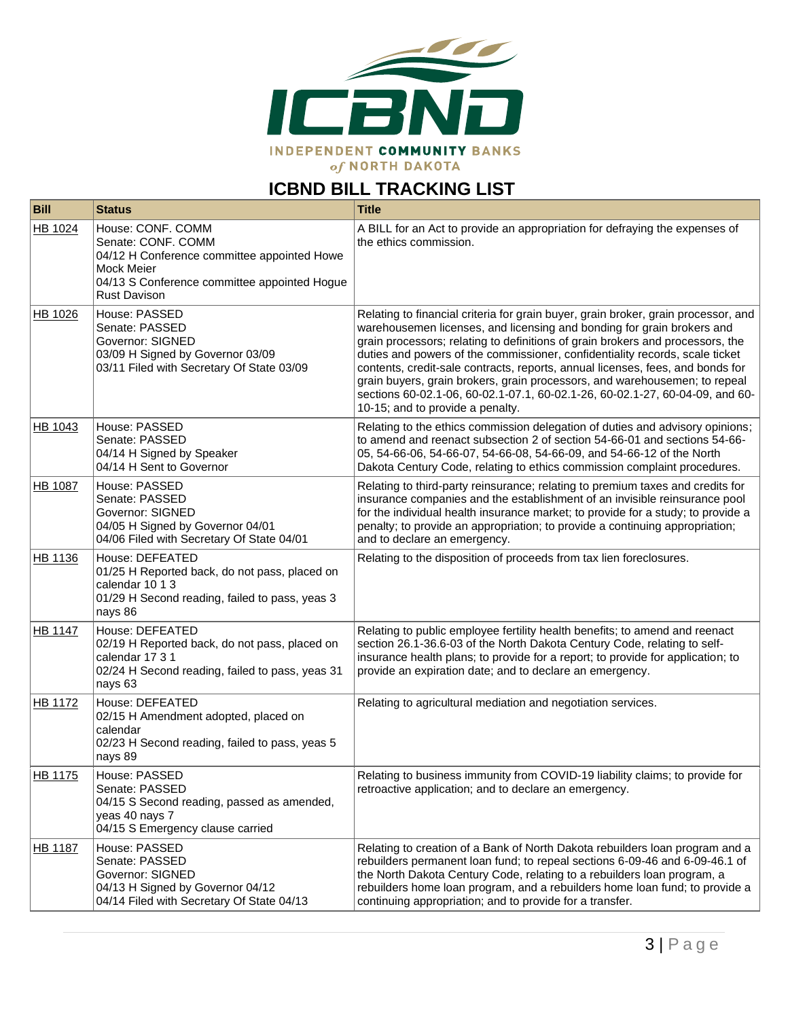

# **ICBND BILL TRACKING LIST**

| <b>Bill</b>    | <b>Status</b>                                                                                                                                                               | <b>Title</b>                                                                                                                                                                                                                                                                                                                                                                                                                                                                                                                                                                                                       |
|----------------|-----------------------------------------------------------------------------------------------------------------------------------------------------------------------------|--------------------------------------------------------------------------------------------------------------------------------------------------------------------------------------------------------------------------------------------------------------------------------------------------------------------------------------------------------------------------------------------------------------------------------------------------------------------------------------------------------------------------------------------------------------------------------------------------------------------|
| HB 1024        | House: CONF. COMM<br>Senate: CONF. COMM<br>04/12 H Conference committee appointed Howe<br>Mock Meier<br>04/13 S Conference committee appointed Hogue<br><b>Rust Davison</b> | A BILL for an Act to provide an appropriation for defraying the expenses of<br>the ethics commission.                                                                                                                                                                                                                                                                                                                                                                                                                                                                                                              |
| HB 1026        | House: PASSED<br>Senate: PASSED<br>Governor: SIGNED<br>03/09 H Signed by Governor 03/09<br>03/11 Filed with Secretary Of State 03/09                                        | Relating to financial criteria for grain buyer, grain broker, grain processor, and<br>warehousemen licenses, and licensing and bonding for grain brokers and<br>grain processors; relating to definitions of grain brokers and processors, the<br>duties and powers of the commissioner, confidentiality records, scale ticket<br>contents, credit-sale contracts, reports, annual licenses, fees, and bonds for<br>grain buyers, grain brokers, grain processors, and warehousemen; to repeal<br>sections 60-02.1-06, 60-02.1-07.1, 60-02.1-26, 60-02.1-27, 60-04-09, and 60-<br>10-15; and to provide a penalty. |
| HB 1043        | House: PASSED<br>Senate: PASSED<br>04/14 H Signed by Speaker<br>04/14 H Sent to Governor                                                                                    | Relating to the ethics commission delegation of duties and advisory opinions;<br>to amend and reenact subsection 2 of section 54-66-01 and sections 54-66-<br>05, 54-66-06, 54-66-07, 54-66-08, 54-66-09, and 54-66-12 of the North<br>Dakota Century Code, relating to ethics commission complaint procedures.                                                                                                                                                                                                                                                                                                    |
| HB 1087        | House: PASSED<br>Senate: PASSED<br>Governor: SIGNED<br>04/05 H Signed by Governor 04/01<br>04/06 Filed with Secretary Of State 04/01                                        | Relating to third-party reinsurance; relating to premium taxes and credits for<br>insurance companies and the establishment of an invisible reinsurance pool<br>for the individual health insurance market; to provide for a study; to provide a<br>penalty; to provide an appropriation; to provide a continuing appropriation;<br>and to declare an emergency.                                                                                                                                                                                                                                                   |
| HB 1136        | House: DEFEATED<br>01/25 H Reported back, do not pass, placed on<br>calendar 10 1 3<br>01/29 H Second reading, failed to pass, yeas 3<br>nays 86                            | Relating to the disposition of proceeds from tax lien foreclosures.                                                                                                                                                                                                                                                                                                                                                                                                                                                                                                                                                |
| <b>HB 1147</b> | House: DEFEATED<br>02/19 H Reported back, do not pass, placed on<br>calendar 17 3 1<br>02/24 H Second reading, failed to pass, yeas 31<br>nays 63                           | Relating to public employee fertility health benefits; to amend and reenact<br>section 26.1-36.6-03 of the North Dakota Century Code, relating to self-<br>insurance health plans; to provide for a report; to provide for application; to<br>provide an expiration date; and to declare an emergency.                                                                                                                                                                                                                                                                                                             |
| HB 1172        | House: DEFEATED<br>02/15 H Amendment adopted, placed on<br>calendar<br>02/23 H Second reading, failed to pass, yeas 5<br>nays 89                                            | Relating to agricultural mediation and negotiation services.                                                                                                                                                                                                                                                                                                                                                                                                                                                                                                                                                       |
| <b>HB 1175</b> | House: PASSED<br>Senate: PASSED<br>04/15 S Second reading, passed as amended,<br>yeas 40 nays 7<br>04/15 S Emergency clause carried                                         | Relating to business immunity from COVID-19 liability claims; to provide for<br>retroactive application; and to declare an emergency.                                                                                                                                                                                                                                                                                                                                                                                                                                                                              |
| <b>HB 1187</b> | House: PASSED<br>Senate: PASSED<br>Governor: SIGNED<br>04/13 H Signed by Governor 04/12<br>04/14 Filed with Secretary Of State 04/13                                        | Relating to creation of a Bank of North Dakota rebuilders loan program and a<br>rebuilders permanent loan fund; to repeal sections 6-09-46 and 6-09-46.1 of<br>the North Dakota Century Code, relating to a rebuilders loan program, a<br>rebuilders home loan program, and a rebuilders home loan fund; to provide a<br>continuing appropriation; and to provide for a transfer.                                                                                                                                                                                                                                  |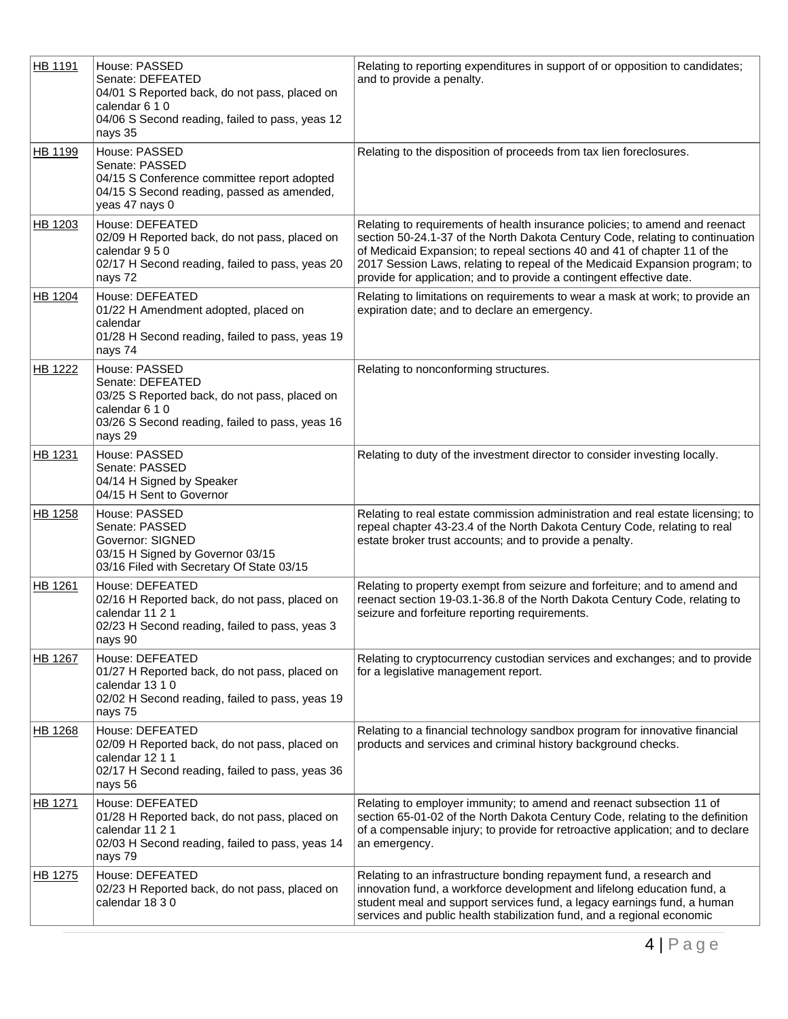| HB 1191        | House: PASSED<br>Senate: DEFEATED<br>04/01 S Reported back, do not pass, placed on<br>calendar 6 1 0<br>04/06 S Second reading, failed to pass, yeas 12<br>nays 35 | Relating to reporting expenditures in support of or opposition to candidates;<br>and to provide a penalty.                                                                                                                                                                                                                                                                                      |
|----------------|--------------------------------------------------------------------------------------------------------------------------------------------------------------------|-------------------------------------------------------------------------------------------------------------------------------------------------------------------------------------------------------------------------------------------------------------------------------------------------------------------------------------------------------------------------------------------------|
| HB 1199        | House: PASSED<br>Senate: PASSED<br>04/15 S Conference committee report adopted<br>04/15 S Second reading, passed as amended,<br>yeas 47 nays 0                     | Relating to the disposition of proceeds from tax lien foreclosures.                                                                                                                                                                                                                                                                                                                             |
| HB 1203        | House: DEFEATED<br>02/09 H Reported back, do not pass, placed on<br>calendar 9 5 0<br>02/17 H Second reading, failed to pass, yeas 20<br>nays 72                   | Relating to requirements of health insurance policies; to amend and reenact<br>section 50-24.1-37 of the North Dakota Century Code, relating to continuation<br>of Medicaid Expansion; to repeal sections 40 and 41 of chapter 11 of the<br>2017 Session Laws, relating to repeal of the Medicaid Expansion program; to<br>provide for application; and to provide a contingent effective date. |
| HB 1204        | House: DEFEATED<br>01/22 H Amendment adopted, placed on<br>calendar<br>01/28 H Second reading, failed to pass, yeas 19<br>nays 74                                  | Relating to limitations on requirements to wear a mask at work; to provide an<br>expiration date; and to declare an emergency.                                                                                                                                                                                                                                                                  |
| HB 1222        | House: PASSED<br>Senate: DEFEATED<br>03/25 S Reported back, do not pass, placed on<br>calendar 6 1 0<br>03/26 S Second reading, failed to pass, yeas 16<br>nays 29 | Relating to nonconforming structures.                                                                                                                                                                                                                                                                                                                                                           |
| <b>HB 1231</b> | House: PASSED<br>Senate: PASSED<br>04/14 H Signed by Speaker<br>04/15 H Sent to Governor                                                                           | Relating to duty of the investment director to consider investing locally.                                                                                                                                                                                                                                                                                                                      |
| HB 1258        | House: PASSED<br>Senate: PASSED<br>Governor: SIGNED<br>03/15 H Signed by Governor 03/15<br>03/16 Filed with Secretary Of State 03/15                               | Relating to real estate commission administration and real estate licensing; to<br>repeal chapter 43-23.4 of the North Dakota Century Code, relating to real<br>estate broker trust accounts; and to provide a penalty.                                                                                                                                                                         |
| HB 1261        | House: DEFEATED<br>02/16 H Reported back, do not pass, placed on<br>calendar 11 2 1<br>02/23 H Second reading, failed to pass, yeas 3<br>nays 90                   | Relating to property exempt from seizure and forfeiture; and to amend and<br>reenact section 19-03.1-36.8 of the North Dakota Century Code, relating to<br>seizure and forfeiture reporting requirements.                                                                                                                                                                                       |
| HB 1267        | House: DEFEATED<br>01/27 H Reported back, do not pass, placed on<br>calendar 13 1 0<br>02/02 H Second reading, failed to pass, yeas 19<br>nays 75                  | Relating to cryptocurrency custodian services and exchanges; and to provide<br>for a legislative management report.                                                                                                                                                                                                                                                                             |
| <b>HB 1268</b> | House: DEFEATED<br>02/09 H Reported back, do not pass, placed on<br>calendar 12 1 1<br>02/17 H Second reading, failed to pass, yeas 36<br>nays 56                  | Relating to a financial technology sandbox program for innovative financial<br>products and services and criminal history background checks.                                                                                                                                                                                                                                                    |
| HB 1271        | House: DEFEATED<br>01/28 H Reported back, do not pass, placed on<br>calendar 11 2 1<br>02/03 H Second reading, failed to pass, yeas 14<br>nays 79                  | Relating to employer immunity; to amend and reenact subsection 11 of<br>section 65-01-02 of the North Dakota Century Code, relating to the definition<br>of a compensable injury; to provide for retroactive application; and to declare<br>an emergency.                                                                                                                                       |
| HB 1275        | House: DEFEATED<br>02/23 H Reported back, do not pass, placed on<br>calendar 18 3 0                                                                                | Relating to an infrastructure bonding repayment fund, a research and<br>innovation fund, a workforce development and lifelong education fund, a<br>student meal and support services fund, a legacy earnings fund, a human<br>services and public health stabilization fund, and a regional economic                                                                                            |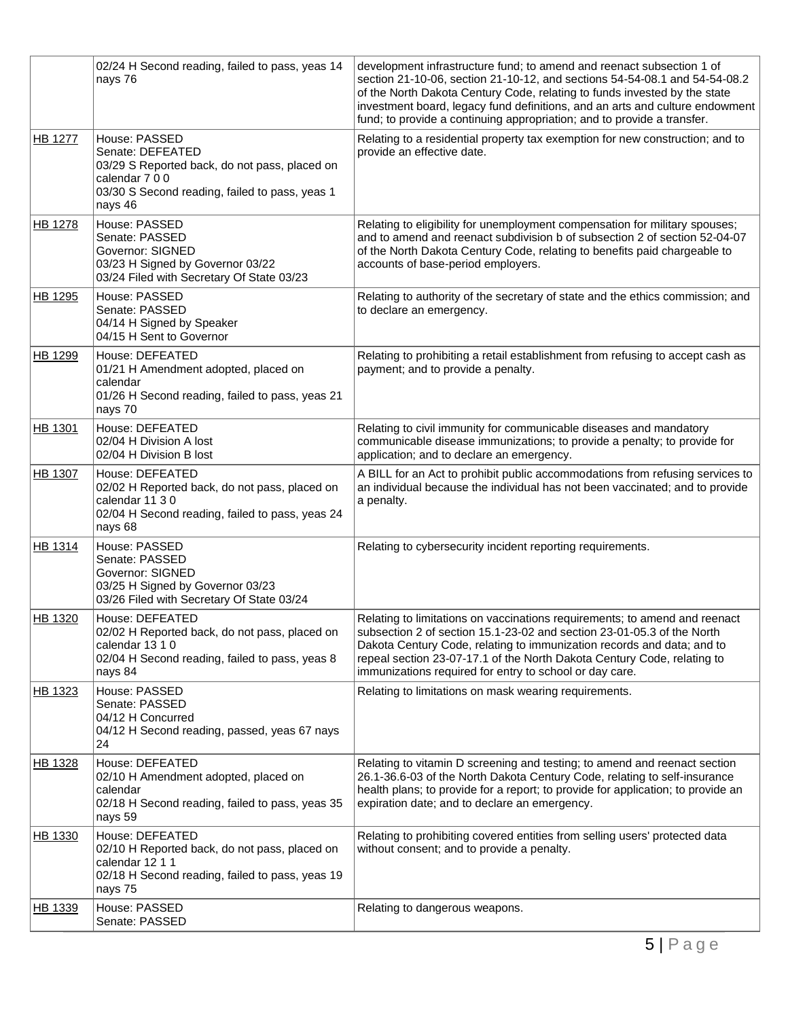|                | 02/24 H Second reading, failed to pass, yeas 14<br>nays 76                                                                                                        | development infrastructure fund; to amend and reenact subsection 1 of<br>section 21-10-06, section 21-10-12, and sections 54-54-08.1 and 54-54-08.2<br>of the North Dakota Century Code, relating to funds invested by the state<br>investment board, legacy fund definitions, and an arts and culture endowment<br>fund; to provide a continuing appropriation; and to provide a transfer. |
|----------------|-------------------------------------------------------------------------------------------------------------------------------------------------------------------|---------------------------------------------------------------------------------------------------------------------------------------------------------------------------------------------------------------------------------------------------------------------------------------------------------------------------------------------------------------------------------------------|
| HB 1277        | House: PASSED<br>Senate: DEFEATED<br>03/29 S Reported back, do not pass, placed on<br>calendar 7 0 0<br>03/30 S Second reading, failed to pass, yeas 1<br>nays 46 | Relating to a residential property tax exemption for new construction; and to<br>provide an effective date.                                                                                                                                                                                                                                                                                 |
| HB 1278        | House: PASSED<br>Senate: PASSED<br>Governor: SIGNED<br>03/23 H Signed by Governor 03/22<br>03/24 Filed with Secretary Of State 03/23                              | Relating to eligibility for unemployment compensation for military spouses;<br>and to amend and reenact subdivision b of subsection 2 of section 52-04-07<br>of the North Dakota Century Code, relating to benefits paid chargeable to<br>accounts of base-period employers.                                                                                                                |
| HB 1295        | House: PASSED<br>Senate: PASSED<br>04/14 H Signed by Speaker<br>04/15 H Sent to Governor                                                                          | Relating to authority of the secretary of state and the ethics commission; and<br>to declare an emergency.                                                                                                                                                                                                                                                                                  |
| HB 1299        | House: DEFEATED<br>01/21 H Amendment adopted, placed on<br>calendar<br>01/26 H Second reading, failed to pass, yeas 21<br>nays 70                                 | Relating to prohibiting a retail establishment from refusing to accept cash as<br>payment; and to provide a penalty.                                                                                                                                                                                                                                                                        |
| HB 1301        | House: DEFEATED<br>02/04 H Division A lost<br>02/04 H Division B lost                                                                                             | Relating to civil immunity for communicable diseases and mandatory<br>communicable disease immunizations; to provide a penalty; to provide for<br>application; and to declare an emergency.                                                                                                                                                                                                 |
| HB 1307        | House: DEFEATED<br>02/02 H Reported back, do not pass, placed on<br>calendar 11 3 0<br>02/04 H Second reading, failed to pass, yeas 24<br>nays 68                 | A BILL for an Act to prohibit public accommodations from refusing services to<br>an individual because the individual has not been vaccinated; and to provide<br>a penalty.                                                                                                                                                                                                                 |
| <b>HB 1314</b> | House: PASSED<br>Senate: PASSED<br>Governor: SIGNED<br>03/25 H Signed by Governor 03/23<br>03/26 Filed with Secretary Of State 03/24                              | Relating to cybersecurity incident reporting requirements.                                                                                                                                                                                                                                                                                                                                  |
| HB 1320        | House: DEFEATED<br>02/02 H Reported back, do not pass, placed on<br>calendar 13 1 0<br>02/04 H Second reading, failed to pass, yeas 8<br>nays 84                  | Relating to limitations on vaccinations requirements; to amend and reenact<br>subsection 2 of section 15.1-23-02 and section 23-01-05.3 of the North<br>Dakota Century Code, relating to immunization records and data; and to<br>repeal section 23-07-17.1 of the North Dakota Century Code, relating to<br>immunizations required for entry to school or day care.                        |
| HB 1323        | House: PASSED<br>Senate: PASSED<br>04/12 H Concurred<br>04/12 H Second reading, passed, yeas 67 nays<br>24                                                        | Relating to limitations on mask wearing requirements.                                                                                                                                                                                                                                                                                                                                       |
| HB 1328        | House: DEFEATED<br>02/10 H Amendment adopted, placed on<br>calendar<br>02/18 H Second reading, failed to pass, yeas 35<br>nays 59                                 | Relating to vitamin D screening and testing; to amend and reenact section<br>26.1-36.6-03 of the North Dakota Century Code, relating to self-insurance<br>health plans; to provide for a report; to provide for application; to provide an<br>expiration date; and to declare an emergency.                                                                                                 |
| HB 1330        | House: DEFEATED<br>02/10 H Reported back, do not pass, placed on<br>calendar 12 1 1<br>02/18 H Second reading, failed to pass, yeas 19<br>nays 75                 | Relating to prohibiting covered entities from selling users' protected data<br>without consent; and to provide a penalty.                                                                                                                                                                                                                                                                   |
| HB 1339        | House: PASSED<br>Senate: PASSED                                                                                                                                   | Relating to dangerous weapons.                                                                                                                                                                                                                                                                                                                                                              |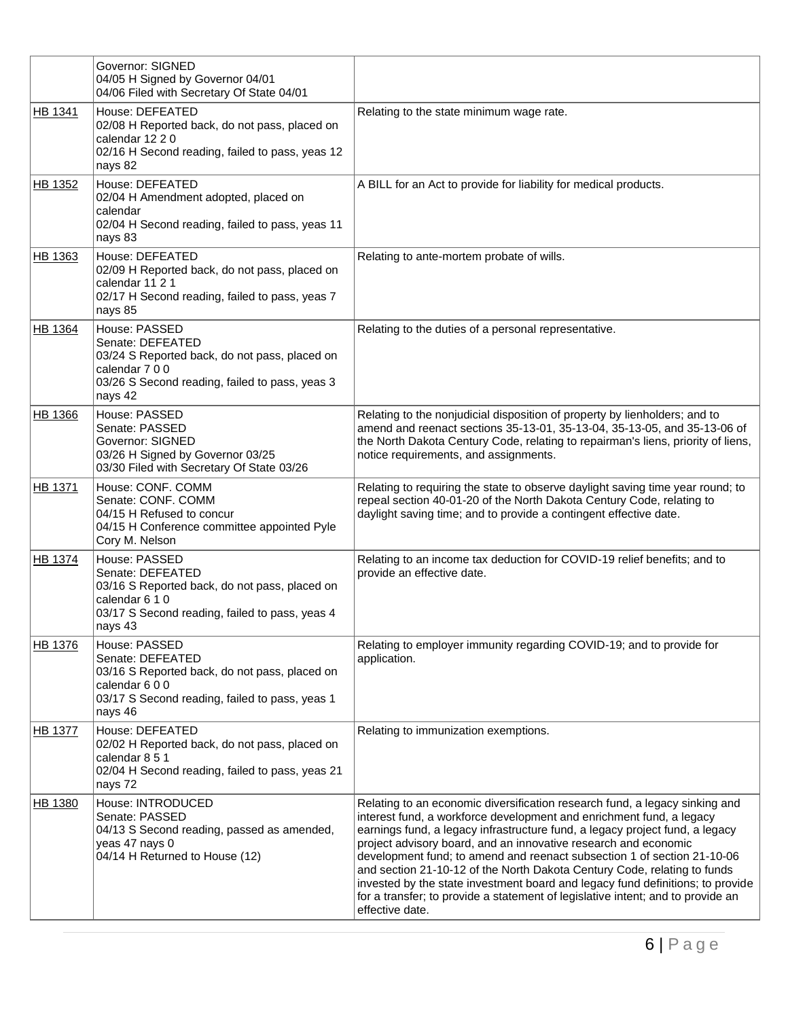|                | <b>Governor: SIGNED</b><br>04/05 H Signed by Governor 04/01<br>04/06 Filed with Secretary Of State 04/01                                                          |                                                                                                                                                                                                                                                                                                                                                                                                                                                                                                                                                                                                                                                       |
|----------------|-------------------------------------------------------------------------------------------------------------------------------------------------------------------|-------------------------------------------------------------------------------------------------------------------------------------------------------------------------------------------------------------------------------------------------------------------------------------------------------------------------------------------------------------------------------------------------------------------------------------------------------------------------------------------------------------------------------------------------------------------------------------------------------------------------------------------------------|
| HB 1341        | House: DEFEATED<br>02/08 H Reported back, do not pass, placed on<br>calendar 12 2 0<br>02/16 H Second reading, failed to pass, yeas 12<br>nays 82                 | Relating to the state minimum wage rate.                                                                                                                                                                                                                                                                                                                                                                                                                                                                                                                                                                                                              |
| HB 1352        | House: DEFEATED<br>02/04 H Amendment adopted, placed on<br>calendar<br>02/04 H Second reading, failed to pass, yeas 11<br>nays 83                                 | A BILL for an Act to provide for liability for medical products.                                                                                                                                                                                                                                                                                                                                                                                                                                                                                                                                                                                      |
| HB 1363        | House: DEFEATED<br>02/09 H Reported back, do not pass, placed on<br>calendar 11 2 1<br>02/17 H Second reading, failed to pass, yeas 7<br>nays 85                  | Relating to ante-mortem probate of wills.                                                                                                                                                                                                                                                                                                                                                                                                                                                                                                                                                                                                             |
| HB 1364        | House: PASSED<br>Senate: DEFEATED<br>03/24 S Reported back, do not pass, placed on<br>calendar 7 0 0<br>03/26 S Second reading, failed to pass, yeas 3<br>nays 42 | Relating to the duties of a personal representative.                                                                                                                                                                                                                                                                                                                                                                                                                                                                                                                                                                                                  |
| <b>HB 1366</b> | House: PASSED<br>Senate: PASSED<br>Governor: SIGNED<br>03/26 H Signed by Governor 03/25<br>03/30 Filed with Secretary Of State 03/26                              | Relating to the nonjudicial disposition of property by lienholders; and to<br>amend and reenact sections 35-13-01, 35-13-04, 35-13-05, and 35-13-06 of<br>the North Dakota Century Code, relating to repairman's liens, priority of liens,<br>notice requirements, and assignments.                                                                                                                                                                                                                                                                                                                                                                   |
| <b>HB 1371</b> | House: CONF. COMM<br>Senate: CONF. COMM<br>04/15 H Refused to concur<br>04/15 H Conference committee appointed Pyle<br>Cory M. Nelson                             | Relating to requiring the state to observe daylight saving time year round; to<br>repeal section 40-01-20 of the North Dakota Century Code, relating to<br>daylight saving time; and to provide a contingent effective date.                                                                                                                                                                                                                                                                                                                                                                                                                          |
| HB 1374        | House: PASSED<br>Senate: DEFEATED<br>03/16 S Reported back, do not pass, placed on<br>calendar 6 1 0<br>03/17 S Second reading, failed to pass, yeas 4<br>nays 43 | Relating to an income tax deduction for COVID-19 relief benefits; and to<br>provide an effective date.                                                                                                                                                                                                                                                                                                                                                                                                                                                                                                                                                |
| HB 1376        | House: PASSED<br>Senate: DEFEATED<br>03/16 S Reported back, do not pass, placed on<br>calendar 600<br>03/17 S Second reading, failed to pass, yeas 1<br>nays 46   | Relating to employer immunity regarding COVID-19; and to provide for<br>application.                                                                                                                                                                                                                                                                                                                                                                                                                                                                                                                                                                  |
| <b>HB 1377</b> | House: DEFEATED<br>02/02 H Reported back, do not pass, placed on<br>calendar 8 5 1<br>02/04 H Second reading, failed to pass, yeas 21<br>nays 72                  | Relating to immunization exemptions.                                                                                                                                                                                                                                                                                                                                                                                                                                                                                                                                                                                                                  |
| HB 1380        | House: INTRODUCED<br>Senate: PASSED<br>04/13 S Second reading, passed as amended,<br>yeas 47 nays 0<br>04/14 H Returned to House (12)                             | Relating to an economic diversification research fund, a legacy sinking and<br>interest fund, a workforce development and enrichment fund, a legacy<br>earnings fund, a legacy infrastructure fund, a legacy project fund, a legacy<br>project advisory board, and an innovative research and economic<br>development fund; to amend and reenact subsection 1 of section 21-10-06<br>and section 21-10-12 of the North Dakota Century Code, relating to funds<br>invested by the state investment board and legacy fund definitions; to provide<br>for a transfer; to provide a statement of legislative intent; and to provide an<br>effective date. |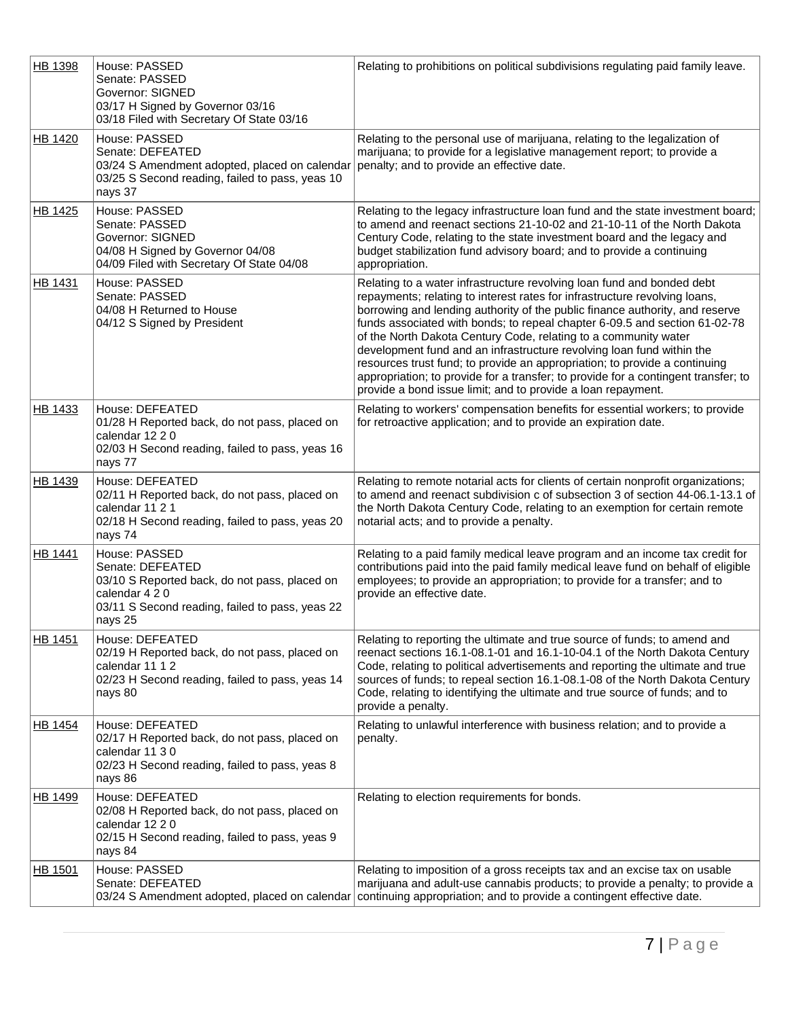| HB 1398        | House: PASSED<br>Senate: PASSED<br>Governor: SIGNED<br>03/17 H Signed by Governor 03/16<br>03/18 Filed with Secretary Of State 03/16                               | Relating to prohibitions on political subdivisions regulating paid family leave.                                                                                                                                                                                                                                                                                                                                                                                                                                                                                                                                                                                                                   |
|----------------|--------------------------------------------------------------------------------------------------------------------------------------------------------------------|----------------------------------------------------------------------------------------------------------------------------------------------------------------------------------------------------------------------------------------------------------------------------------------------------------------------------------------------------------------------------------------------------------------------------------------------------------------------------------------------------------------------------------------------------------------------------------------------------------------------------------------------------------------------------------------------------|
| HB 1420        | House: PASSED<br>Senate: DEFEATED<br>03/24 S Amendment adopted, placed on calendar<br>03/25 S Second reading, failed to pass, yeas 10<br>nays 37                   | Relating to the personal use of marijuana, relating to the legalization of<br>marijuana; to provide for a legislative management report; to provide a<br>penalty; and to provide an effective date.                                                                                                                                                                                                                                                                                                                                                                                                                                                                                                |
| HB 1425        | House: PASSED<br>Senate: PASSED<br>Governor: SIGNED<br>04/08 H Signed by Governor 04/08<br>04/09 Filed with Secretary Of State 04/08                               | Relating to the legacy infrastructure loan fund and the state investment board;<br>to amend and reenact sections 21-10-02 and 21-10-11 of the North Dakota<br>Century Code, relating to the state investment board and the legacy and<br>budget stabilization fund advisory board; and to provide a continuing<br>appropriation.                                                                                                                                                                                                                                                                                                                                                                   |
| HB 1431        | House: PASSED<br>Senate: PASSED<br>04/08 H Returned to House<br>04/12 S Signed by President                                                                        | Relating to a water infrastructure revolving loan fund and bonded debt<br>repayments; relating to interest rates for infrastructure revolving loans,<br>borrowing and lending authority of the public finance authority, and reserve<br>funds associated with bonds; to repeal chapter 6-09.5 and section 61-02-78<br>of the North Dakota Century Code, relating to a community water<br>development fund and an infrastructure revolving loan fund within the<br>resources trust fund; to provide an appropriation; to provide a continuing<br>appropriation; to provide for a transfer; to provide for a contingent transfer; to<br>provide a bond issue limit; and to provide a loan repayment. |
| <b>HB 1433</b> | House: DEFEATED<br>01/28 H Reported back, do not pass, placed on<br>calendar 12 2 0<br>02/03 H Second reading, failed to pass, yeas 16<br>nays 77                  | Relating to workers' compensation benefits for essential workers; to provide<br>for retroactive application; and to provide an expiration date.                                                                                                                                                                                                                                                                                                                                                                                                                                                                                                                                                    |
| HB 1439        | House: DEFEATED<br>02/11 H Reported back, do not pass, placed on<br>calendar 11 2 1<br>02/18 H Second reading, failed to pass, yeas 20<br>nays 74                  | Relating to remote notarial acts for clients of certain nonprofit organizations;<br>to amend and reenact subdivision c of subsection 3 of section 44-06.1-13.1 of<br>the North Dakota Century Code, relating to an exemption for certain remote<br>notarial acts; and to provide a penalty.                                                                                                                                                                                                                                                                                                                                                                                                        |
| HB 1441        | House: PASSED<br>Senate: DEFEATED<br>03/10 S Reported back, do not pass, placed on<br>calendar 4 2 0<br>03/11 S Second reading, failed to pass, yeas 22<br>nays 25 | Relating to a paid family medical leave program and an income tax credit for<br>contributions paid into the paid family medical leave fund on behalf of eligible<br>employees; to provide an appropriation; to provide for a transfer; and to<br>provide an effective date.                                                                                                                                                                                                                                                                                                                                                                                                                        |
| <b>HB 1451</b> | House: DEFEATED<br>02/19 H Reported back, do not pass, placed on<br>calendar 11 1 2<br>02/23 H Second reading, failed to pass, yeas 14<br>nays 80                  | Relating to reporting the ultimate and true source of funds; to amend and<br>reenact sections 16.1-08.1-01 and 16.1-10-04.1 of the North Dakota Century<br>Code, relating to political advertisements and reporting the ultimate and true<br>sources of funds; to repeal section 16.1-08.1-08 of the North Dakota Century<br>Code, relating to identifying the ultimate and true source of funds; and to<br>provide a penalty.                                                                                                                                                                                                                                                                     |
| HB 1454        | House: DEFEATED<br>02/17 H Reported back, do not pass, placed on<br>calendar 11 3 0<br>02/23 H Second reading, failed to pass, yeas 8<br>nays 86                   | Relating to unlawful interference with business relation; and to provide a<br>penalty.                                                                                                                                                                                                                                                                                                                                                                                                                                                                                                                                                                                                             |
| HB 1499        | House: DEFEATED<br>02/08 H Reported back, do not pass, placed on<br>calendar 12 2 0<br>02/15 H Second reading, failed to pass, yeas 9<br>nays 84                   | Relating to election requirements for bonds.                                                                                                                                                                                                                                                                                                                                                                                                                                                                                                                                                                                                                                                       |
| HB 1501        | House: PASSED<br>Senate: DEFEATED                                                                                                                                  | Relating to imposition of a gross receipts tax and an excise tax on usable<br>marijuana and adult-use cannabis products; to provide a penalty; to provide a<br>03/24 S Amendment adopted, placed on calendar continuing appropriation; and to provide a contingent effective date.                                                                                                                                                                                                                                                                                                                                                                                                                 |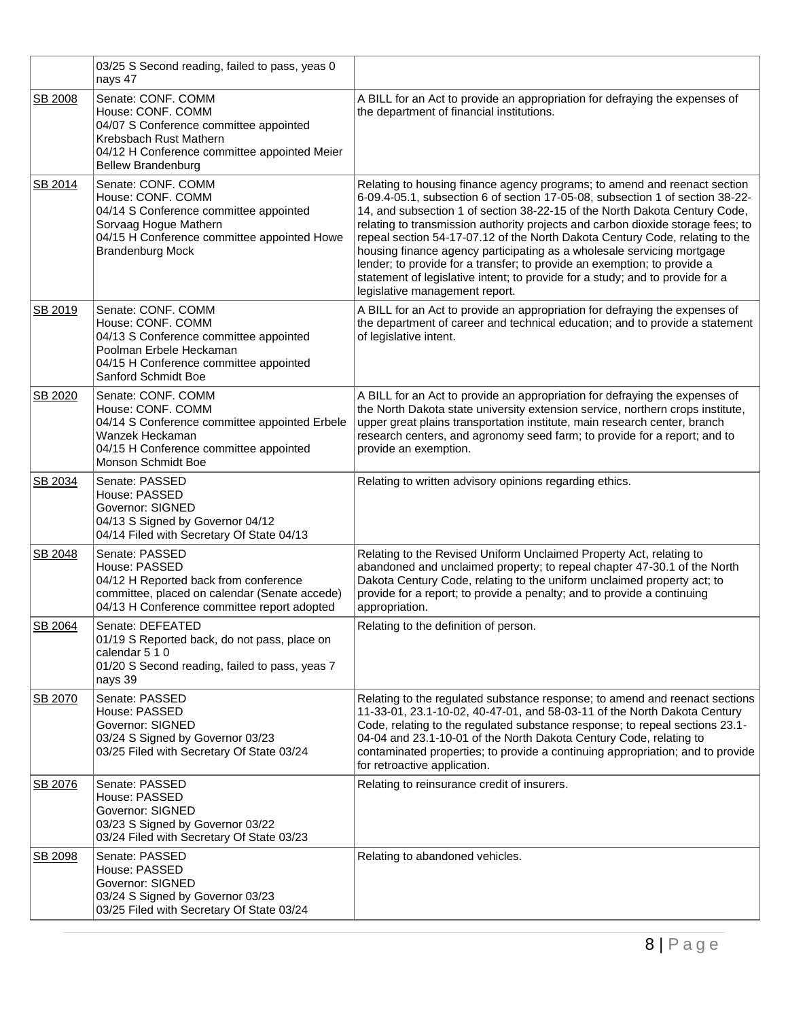|         | 03/25 S Second reading, failed to pass, yeas 0<br>nays 47                                                                                                                                |                                                                                                                                                                                                                                                                                                                                                                                                                                                                                                                                                                                                                                                                                      |
|---------|------------------------------------------------------------------------------------------------------------------------------------------------------------------------------------------|--------------------------------------------------------------------------------------------------------------------------------------------------------------------------------------------------------------------------------------------------------------------------------------------------------------------------------------------------------------------------------------------------------------------------------------------------------------------------------------------------------------------------------------------------------------------------------------------------------------------------------------------------------------------------------------|
| SB 2008 | Senate: CONF. COMM<br>House: CONF. COMM<br>04/07 S Conference committee appointed<br>Krebsbach Rust Mathern<br>04/12 H Conference committee appointed Meier<br><b>Bellew Brandenburg</b> | A BILL for an Act to provide an appropriation for defraying the expenses of<br>the department of financial institutions.                                                                                                                                                                                                                                                                                                                                                                                                                                                                                                                                                             |
| SB 2014 | Senate: CONF. COMM<br>House: CONF. COMM<br>04/14 S Conference committee appointed<br>Sorvaag Hogue Mathern<br>04/15 H Conference committee appointed Howe<br><b>Brandenburg Mock</b>     | Relating to housing finance agency programs; to amend and reenact section<br>6-09.4-05.1, subsection 6 of section 17-05-08, subsection 1 of section 38-22-<br>14, and subsection 1 of section 38-22-15 of the North Dakota Century Code,<br>relating to transmission authority projects and carbon dioxide storage fees; to<br>repeal section 54-17-07.12 of the North Dakota Century Code, relating to the<br>housing finance agency participating as a wholesale servicing mortgage<br>lender; to provide for a transfer; to provide an exemption; to provide a<br>statement of legislative intent; to provide for a study; and to provide for a<br>legislative management report. |
| SB 2019 | Senate: CONF. COMM<br>House: CONF. COMM<br>04/13 S Conference committee appointed<br>Poolman Erbele Heckaman<br>04/15 H Conference committee appointed<br>Sanford Schmidt Boe            | A BILL for an Act to provide an appropriation for defraying the expenses of<br>the department of career and technical education; and to provide a statement<br>of legislative intent.                                                                                                                                                                                                                                                                                                                                                                                                                                                                                                |
| SB 2020 | Senate: CONF. COMM<br>House: CONF. COMM<br>04/14 S Conference committee appointed Erbele<br>Wanzek Heckaman<br>04/15 H Conference committee appointed<br>Monson Schmidt Boe              | A BILL for an Act to provide an appropriation for defraying the expenses of<br>the North Dakota state university extension service, northern crops institute,<br>upper great plains transportation institute, main research center, branch<br>research centers, and agronomy seed farm; to provide for a report; and to<br>provide an exemption.                                                                                                                                                                                                                                                                                                                                     |
| SB 2034 | Senate: PASSED<br>House: PASSED<br>Governor: SIGNED<br>04/13 S Signed by Governor 04/12<br>04/14 Filed with Secretary Of State 04/13                                                     | Relating to written advisory opinions regarding ethics.                                                                                                                                                                                                                                                                                                                                                                                                                                                                                                                                                                                                                              |
| SB 2048 | Senate: PASSED<br>House: PASSED<br>04/12 H Reported back from conference<br>committee, placed on calendar (Senate accede)<br>04/13 H Conference committee report adopted                 | Relating to the Revised Uniform Unclaimed Property Act, relating to<br>abandoned and unclaimed property; to repeal chapter 47-30.1 of the North<br>Dakota Century Code, relating to the uniform unclaimed property act; to<br>provide for a report; to provide a penalty; and to provide a continuing<br>appropriation.                                                                                                                                                                                                                                                                                                                                                              |
| SB 2064 | Senate: DEFEATED<br>01/19 S Reported back, do not pass, place on<br>calendar 5 1 0<br>01/20 S Second reading, failed to pass, yeas 7<br>nays 39                                          | Relating to the definition of person.                                                                                                                                                                                                                                                                                                                                                                                                                                                                                                                                                                                                                                                |
| SB 2070 | Senate: PASSED<br>House: PASSED<br>Governor: SIGNED<br>03/24 S Signed by Governor 03/23<br>03/25 Filed with Secretary Of State 03/24                                                     | Relating to the regulated substance response; to amend and reenact sections<br>11-33-01, 23.1-10-02, 40-47-01, and 58-03-11 of the North Dakota Century<br>Code, relating to the regulated substance response; to repeal sections 23.1-<br>04-04 and 23.1-10-01 of the North Dakota Century Code, relating to<br>contaminated properties; to provide a continuing appropriation; and to provide<br>for retroactive application.                                                                                                                                                                                                                                                      |
| SB 2076 | Senate: PASSED<br>House: PASSED<br>Governor: SIGNED<br>03/23 S Signed by Governor 03/22<br>03/24 Filed with Secretary Of State 03/23                                                     | Relating to reinsurance credit of insurers.                                                                                                                                                                                                                                                                                                                                                                                                                                                                                                                                                                                                                                          |
| SB 2098 | Senate: PASSED<br>House: PASSED<br>Governor: SIGNED<br>03/24 S Signed by Governor 03/23<br>03/25 Filed with Secretary Of State 03/24                                                     | Relating to abandoned vehicles.                                                                                                                                                                                                                                                                                                                                                                                                                                                                                                                                                                                                                                                      |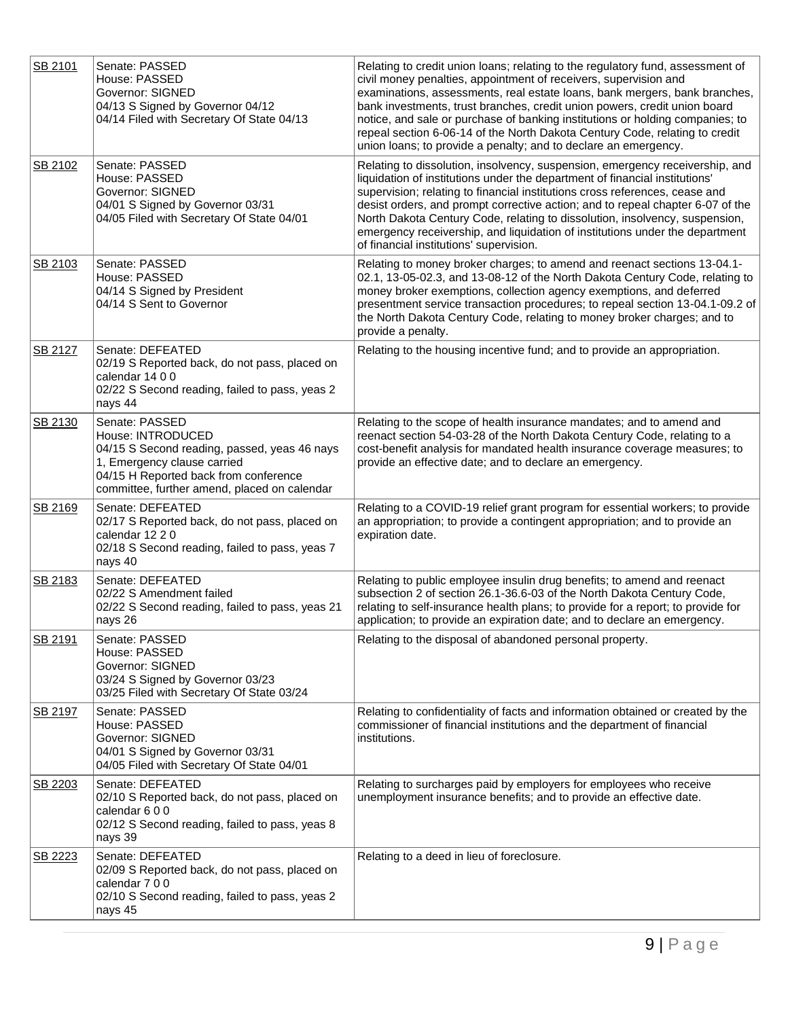| SB 2101 | Senate: PASSED<br>House: PASSED<br>Governor: SIGNED<br>04/13 S Signed by Governor 04/12<br>04/14 Filed with Secretary Of State 04/13                                                                        | Relating to credit union loans; relating to the regulatory fund, assessment of<br>civil money penalties, appointment of receivers, supervision and<br>examinations, assessments, real estate loans, bank mergers, bank branches,<br>bank investments, trust branches, credit union powers, credit union board<br>notice, and sale or purchase of banking institutions or holding companies; to<br>repeal section 6-06-14 of the North Dakota Century Code, relating to credit<br>union loans; to provide a penalty; and to declare an emergency. |
|---------|-------------------------------------------------------------------------------------------------------------------------------------------------------------------------------------------------------------|--------------------------------------------------------------------------------------------------------------------------------------------------------------------------------------------------------------------------------------------------------------------------------------------------------------------------------------------------------------------------------------------------------------------------------------------------------------------------------------------------------------------------------------------------|
| SB 2102 | Senate: PASSED<br>House: PASSED<br>Governor: SIGNED<br>04/01 S Signed by Governor 03/31<br>04/05 Filed with Secretary Of State 04/01                                                                        | Relating to dissolution, insolvency, suspension, emergency receivership, and<br>liquidation of institutions under the department of financial institutions'<br>supervision; relating to financial institutions cross references, cease and<br>desist orders, and prompt corrective action; and to repeal chapter 6-07 of the<br>North Dakota Century Code, relating to dissolution, insolvency, suspension,<br>emergency receivership, and liquidation of institutions under the department<br>of financial institutions' supervision.           |
| SB 2103 | Senate: PASSED<br>House: PASSED<br>04/14 S Signed by President<br>04/14 S Sent to Governor                                                                                                                  | Relating to money broker charges; to amend and reenact sections 13-04.1-<br>02.1, 13-05-02.3, and 13-08-12 of the North Dakota Century Code, relating to<br>money broker exemptions, collection agency exemptions, and deferred<br>presentment service transaction procedures; to repeal section 13-04.1-09.2 of<br>the North Dakota Century Code, relating to money broker charges; and to<br>provide a penalty.                                                                                                                                |
| SB 2127 | Senate: DEFEATED<br>02/19 S Reported back, do not pass, placed on<br>calendar 14 0 0<br>02/22 S Second reading, failed to pass, yeas 2<br>nays 44                                                           | Relating to the housing incentive fund; and to provide an appropriation.                                                                                                                                                                                                                                                                                                                                                                                                                                                                         |
| SB 2130 | Senate: PASSED<br>House: INTRODUCED<br>04/15 S Second reading, passed, yeas 46 nays<br>1, Emergency clause carried<br>04/15 H Reported back from conference<br>committee, further amend, placed on calendar | Relating to the scope of health insurance mandates; and to amend and<br>reenact section 54-03-28 of the North Dakota Century Code, relating to a<br>cost-benefit analysis for mandated health insurance coverage measures; to<br>provide an effective date; and to declare an emergency.                                                                                                                                                                                                                                                         |
| SB 2169 | Senate: DEFEATED<br>02/17 S Reported back, do not pass, placed on<br>calendar 12 2 0<br>02/18 S Second reading, failed to pass, yeas 7<br>nays 40                                                           | Relating to a COVID-19 relief grant program for essential workers; to provide<br>an appropriation; to provide a contingent appropriation; and to provide an<br>expiration date.                                                                                                                                                                                                                                                                                                                                                                  |
| SB 2183 | Senate: DEFEATED<br>02/22 S Amendment failed<br>02/22 S Second reading, failed to pass, yeas 21<br>nays 26                                                                                                  | Relating to public employee insulin drug benefits; to amend and reenact<br>subsection 2 of section 26.1-36.6-03 of the North Dakota Century Code,<br>relating to self-insurance health plans; to provide for a report; to provide for<br>application; to provide an expiration date; and to declare an emergency.                                                                                                                                                                                                                                |
| SB 2191 | Senate: PASSED<br>House: PASSED<br><b>Governor: SIGNED</b><br>03/24 S Signed by Governor 03/23<br>03/25 Filed with Secretary Of State 03/24                                                                 | Relating to the disposal of abandoned personal property.                                                                                                                                                                                                                                                                                                                                                                                                                                                                                         |
| SB 2197 | Senate: PASSED<br>House: PASSED<br>Governor: SIGNED<br>04/01 S Signed by Governor 03/31<br>04/05 Filed with Secretary Of State 04/01                                                                        | Relating to confidentiality of facts and information obtained or created by the<br>commissioner of financial institutions and the department of financial<br>institutions.                                                                                                                                                                                                                                                                                                                                                                       |
| SB 2203 | Senate: DEFEATED<br>02/10 S Reported back, do not pass, placed on<br>calendar 600<br>02/12 S Second reading, failed to pass, yeas 8<br>nays 39                                                              | Relating to surcharges paid by employers for employees who receive<br>unemployment insurance benefits; and to provide an effective date.                                                                                                                                                                                                                                                                                                                                                                                                         |
| SB 2223 | Senate: DEFEATED<br>02/09 S Reported back, do not pass, placed on<br>calendar 7 0 0<br>02/10 S Second reading, failed to pass, yeas 2<br>nays 45                                                            | Relating to a deed in lieu of foreclosure.                                                                                                                                                                                                                                                                                                                                                                                                                                                                                                       |